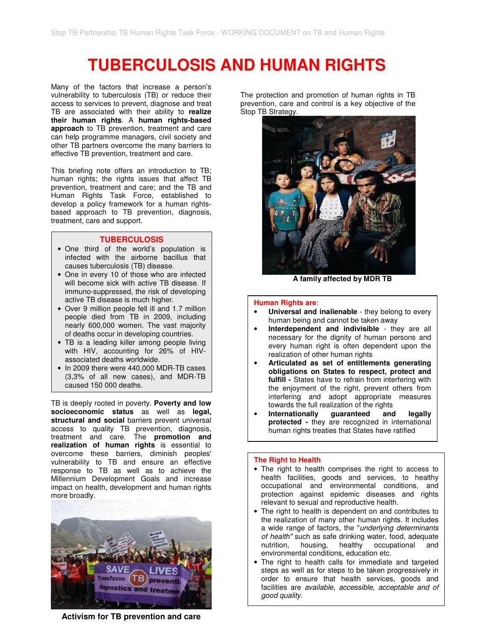# **TUBERCULOSIS AND HUMAN RIGHTS**

Many of the factors that increase a person's vulnerability to tuberculosis (TB) or reduce their access to services to prevent, diagnose and treat TB are associated with their ability to **realize their human rights**. A **human rights-based approach** to TB prevention, treatment and care can help programme managers, civil society and other TB partners overcome the many barriers to effective TB prevention, treatment and care.

This briefing note offers an introduction to TB; human rights; the rights issues that affect TB prevention, treatment and care; and the TB and Human Rights Task Force, established to develop a policy framework for a human rightsbased approach to TB prevention, diagnosis, treatment, care and support.

#### **TUBERCULOSIS**

- One third of the world's population is infected with the airborne bacillus that causes tuberculosis (TB) disease.
- One in every 10 of those who are infected will become sick with active TB disease. If immuno-suppressed, the risk of developing active TB disease is much higher.
- Over 9 million people fell ill and 1.7 million people died from TB in 2009, including nearly 600,000 women. The vast majority of deaths occur in developing countries.
- TB is a leading killer among people living with HIV, accounting for 26% of HIVassociated deaths worldwide.
- In 2009 there were 440,000 MDR-TB cases (3,3% of all new cases), and MDR-TB caused 150 000 deaths.

TB is deeply rooted in poverty. **Poverty and low socioeconomic status** as well as **legal, structural and social** barriers prevent universal access to quality TB prevention, diagnosis, treatment and care. The **promotion and realization of human rights** is essential to overcome these barriers, diminish peoples' vulnerability to TB and ensure an effective response to TB as well as to achieve the Millennium Development Goals and increase impact on health, development and human rights more broadly.



**Activism for TB prevention and care**

The protection and promotion of human rights in TB prevention, care and control is a key objective of the Stop TB Strategy.



**A family affected by MDR TB** 

#### **Human Rights are**:

- **Universal and inalienable** they belong to every human being and cannot be taken away
- **Interdependent and indivisible**  they are all necessary for the dignity of human persons and every human right is often dependent upon the realization of other human rights
- **Articulated as set of entitlements generating obligations on States to respect, protect and fulfill -** States have to refrain from interfering with the enjoyment of the right, prevent others from interfering and adopt appropriate measures towards the full realization of the rights
- **Internationally guaranteed and legally protected -** they are recognized in international human rights treaties that States have ratified

#### **The Right to Health**

- The right to health comprises the right to access to health facilities, goods and services, to healthy occupational and environmental conditions, and protection against epidemic diseases and rights relevant to sexual and reproductive health.
- The right to health is dependent on and contributes to the realization of many other human rights. It includes a wide range of factors, the "underlying determinants of health" such as safe drinking water, food, adequate nutrition, housing, healthy occupational and environmental conditions, education etc.
- The right to health calls for immediate and targeted steps as well as for steps to be taken progressively in order to ensure that health services, goods and facilities are available, accessible, acceptable and of good quality.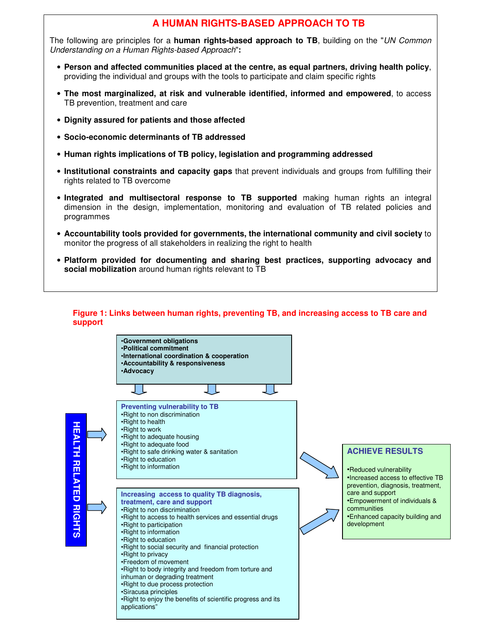# **A HUMAN RIGHTS-BASED APPROACH TO TB**

The following are principles for a **human rights-based approach to TB**, building on the "UN Common Understanding on a Human Rights-based Approach"**:** 

- **Person and affected communities placed at the centre, as equal partners, driving health policy**, providing the individual and groups with the tools to participate and claim specific rights
- **The most marginalized, at risk and vulnerable identified, informed and empowered**, to access TB prevention, treatment and care
- **Dignity assured for patients and those affected**
- **Socio-economic determinants of TB addressed**
- **Human rights implications of TB policy, legislation and programming addressed**
- **Institutional constraints and capacity gaps** that prevent individuals and groups from fulfilling their rights related to TB overcome
- **Integrated and multisectoral response to TB supported** making human rights an integral dimension in the design, implementation, monitoring and evaluation of TB related policies and programmes
- **Accountability tools provided for governments, the international community and civil society** to monitor the progress of all stakeholders in realizing the right to health
- **Platform provided for documenting and sharing best practices, supporting advocacy and social mobilization** around human rights relevant to TB



#### **Figure 1: Links between human rights, preventing TB, and increasing access to TB care and support**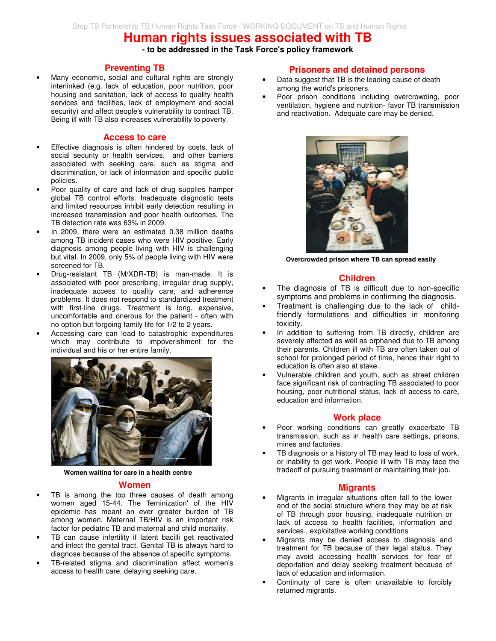# **Human rights issues associated with TB**

**- to be addressed in the Task Force's policy framework** 

#### **Preventing TB**

Many economic, social and cultural rights are strongly interlinked (e.g. lack of education, poor nutrition, poor housing and sanitation, lack of access to quality health services and facilities, lack of employment and social security) and affect people's vulnerability to contract TB. Being ill with TB also increases vulnerability to poverty.

#### **Access to care**

- Effective diagnosis is often hindered by costs, lack of social security or health services, and other barriers associated with seeking care, such as stigma and discrimination, or lack of information and specific public policies.
- Poor quality of care and lack of drug supplies hamper global TB control efforts. Inadequate diagnostic tests and limited resources inhibit early detection resulting in increased transmission and poor health outcomes. The TB detection rate was 63% in 2009.
- In 2009, there were an estimated 0.38 million deaths among TB incident cases who were HIV positive. Early diagnosis among people living with HIV is challenging but vital. In 2009, only 5% of people living with HIV were screened for TB.
- Drug-resistant TB (M/XDR-TB) is man-made. It is associated with poor prescribing, irregular drug supply, inadequate access to quality care, and adherence problems. It does not respond to standardized treatment with first-line drugs. Treatment is long, expensive, uncomfortable and onerous for the patient - often with no option but forgoing family life for 1/2 to 2 years.
- Accessing care can lead to catastrophic expenditures which may contribute to impoverishment for the individual and his or her entire family.



**Women waiting for care in a health centre**

#### **Women**

- TB is among the top three causes of death among women aged 15-44. The 'feminization' of the HIV epidemic has meant an ever greater burden of TB among women. Maternal TB/HIV is an important risk factor for pediatric TB and maternal and child mortality.
- TB can cause infertility if latent bacilli get reactivated and infect the genital tract. Genital TB is always hard to diagnose because of the absence of specific symptoms.
- TB-related stigma and discrimination affect women's access to health care, delaying seeking care.

#### **Prisoners and detained persons**

- Data suggest that TB is the leading cause of death among the world's prisoners.
- Poor prison conditions including overcrowding, poor ventilation, hygiene and nutrition- favor TB transmission and reactivation. Adequate care may be denied.



**Overcrowded prison where TB can spread easily** 

#### **Children**

- The diagnosis of TB is difficult due to non-specific symptoms and problems in confirming the diagnosis.
- Treatment is challenging due to the lack of childfriendly formulations and difficulties in monitoring toxicity.
- In addition to suffering from TB directly, children are severely affected as well as orphaned due to TB among their parents. Children ill with TB are often taken out of school for prolonged period of time, hence their right to education is often also at stake..
- Vulnerable children and youth, such as street children face significant risk of contracting TB associated to poor housing, poor nutritional status, lack of access to care, education and information.

#### **Work place**

- Poor working conditions can greatly exacerbate TB transmission, such as in health care settings, prisons, mines and factories.
- TB diagnosis or a history of TB may lead to loss of work, or inability to get work. People ill with TB may face the tradeoff of pursuing treatment or maintaining their job.

#### **Migrants**

- Migrants in irregular situations often fall to the lower end of the social structure where they may be at risk of TB through poor housing, inadequate nutrition or lack of access to health facilities, information and services., exploitative working conditions
- Migrants may be denied access to diagnosis and treatment for TB because of their legal status. They may avoid accessing health services for fear of deportation and delay seeking treatment because of lack of education and information.
- Continuity of care is often unavailable to forcibly returned migrants.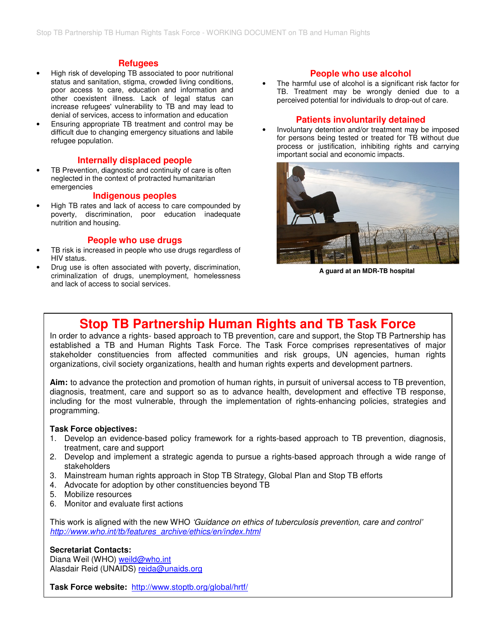#### **Refugees**

- High risk of developing TB associated to poor nutritional status and sanitation, stigma, crowded living conditions, poor access to care, education and information and other coexistent illness. Lack of legal status can increase refugees' vulnerability to TB and may lead to denial of services, access to information and education
- Ensuring appropriate TB treatment and control may be difficult due to changing emergency situations and labile refugee population.

#### **Internally displaced people**

TB Prevention, diagnostic and continuity of care is often neglected in the context of protracted humanitarian emergencies

#### **Indigenous peoples**

• High TB rates and lack of access to care compounded by poverty, discrimination, poor education inadequate nutrition and housing.

#### **People who use drugs**

- TB risk is increased in people who use drugs regardless of HIV status.
- Drug use is often associated with poverty, discrimination, criminalization of drugs, unemployment, homelessness and lack of access to social services.

#### **People who use alcohol**

The harmful use of alcohol is a significant risk factor for TB. Treatment may be wrongly denied due to a perceived potential for individuals to drop-out of care.

#### **Patients involuntarily detained**

• Involuntary detention and/or treatment may be imposed for persons being tested or treated for TB without due process or justification, inhibiting rights and carrying important social and economic impacts.



**A guard at an MDR-TB hospital** 

# **Stop TB Partnership Human Rights and TB Task Force**

In order to advance a rights- based approach to TB prevention, care and support, the Stop TB Partnership has established a TB and Human Rights Task Force. The Task Force comprises representatives of major stakeholder constituencies from affected communities and risk groups, UN agencies, human rights organizations, civil society organizations, health and human rights experts and development partners.

**Aim:** to advance the protection and promotion of human rights, in pursuit of universal access to TB prevention, diagnosis, treatment, care and support so as to advance health, development and effective TB response, including for the most vulnerable, through the implementation of rights-enhancing policies, strategies and programming.

#### **Task Force objectives:**

- 1. Develop an evidence-based policy framework for a rights-based approach to TB prevention, diagnosis, treatment, care and support
- 2. Develop and implement a strategic agenda to pursue a rights-based approach through a wide range of stakeholders
- 3. Mainstream human rights approach in Stop TB Strategy, Global Plan and Stop TB efforts
- 4. Advocate for adoption by other constituencies beyond TB
- 5. Mobilize resources
- 6. Monitor and evaluate first actions

This work is aligned with the new WHO 'Guidance on ethics of tuberculosis prevention, care and control' http://www.who.int/tb/features\_archive/ethics/en/index.html

#### **Secretariat Contacts:**

Diana Weil (WHO) weild@who.int Alasdair Reid (UNAIDS) reida@unaids.org

**Task Force website:** http://www.stoptb.org/global/hrtf/